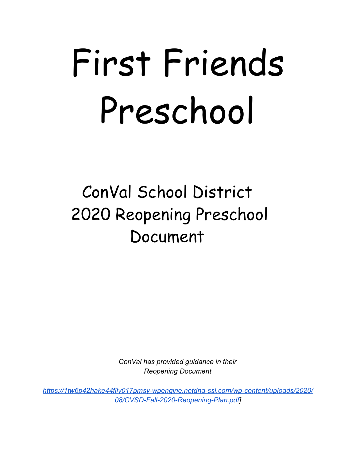# First Friends Preschool

# ConVal School District 2020 Reopening Preschool Document

*ConVal has provided guidance in their Reopening Document*

*[https://1tw6p42hake44flly017pmsy-wpengine.netdna-ssl.com/wp-content/uploads/2020/](https://1tw6p42hake44flly017pmsy-wpengine.netdna-ssl.com/wp-content/uploads/2020/08/CVSD-Fall-2020-Reopening-Plan.pdf) [08/CVSD-Fall-2020-Reopening-Plan.pdf](https://1tw6p42hake44flly017pmsy-wpengine.netdna-ssl.com/wp-content/uploads/2020/08/CVSD-Fall-2020-Reopening-Plan.pdf)]*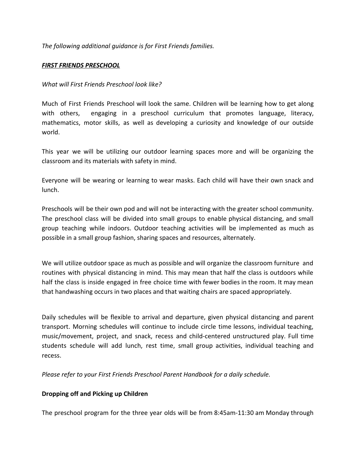*The following additional guidance is for First Friends families.*

## *FIRST FRIENDS PRESCHOOL*

#### *What will First Friends Preschool look like?*

Much of First Friends Preschool will look the same. Children will be learning how to get along with others, engaging in a preschool curriculum that promotes language, literacy, mathematics, motor skills, as well as developing a curiosity and knowledge of our outside world.

This year we will be utilizing our outdoor learning spaces more and will be organizing the classroom and its materials with safety in mind.

Everyone will be wearing or learning to wear masks. Each child will have their own snack and lunch.

Preschools will be their own pod and will not be interacting with the greater school community. The preschool class will be divided into small groups to enable physical distancing, and small group teaching while indoors. Outdoor teaching activities will be implemented as much as possible in a small group fashion, sharing spaces and resources, alternately.

We will utilize outdoor space as much as possible and will organize the classroom furniture and routines with physical distancing in mind. This may mean that half the class is outdoors while half the class is inside engaged in free choice time with fewer bodies in the room. It may mean that handwashing occurs in two places and that waiting chairs are spaced appropriately.

Daily schedules will be flexible to arrival and departure, given physical distancing and parent transport. Morning schedules will continue to include circle time lessons, individual teaching, music/movement, project, and snack, recess and child-centered unstructured play. Full time students schedule will add lunch, rest time, small group activities, individual teaching and recess.

*Please refer to your First Friends Preschool Parent Handbook for a daily schedule.*

#### **Dropping off and Picking up Children**

The preschool program for the three year olds will be from 8:45am-11:30 am Monday through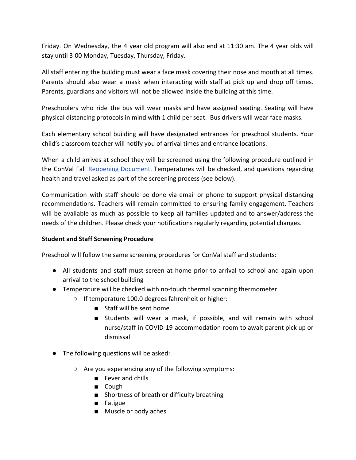Friday. On Wednesday, the 4 year old program will also end at 11:30 am. The 4 year olds will stay until 3:00 Monday, Tuesday, Thursday, Friday.

All staff entering the building must wear a face mask covering their nose and mouth at all times. Parents should also wear a mask when interacting with staff at pick up and drop off times. Parents, guardians and visitors will not be allowed inside the building at this time.

Preschoolers who ride the bus will wear masks and have assigned seating. Seating will have physical distancing protocols in mind with 1 child per seat. Bus drivers will wear face masks.

Each elementary school building will have designated entrances for preschool students. Your child's classroom teacher will notify you of arrival times and entrance locations.

When a child arrives at school they will be screened using the following procedure outlined in the ConVal Fall [Reopening](https://convalsd.net/wp-content/uploads/2020/08/CVSD-Fall-2020-Reopening-Plan.pdf) Document. Temperatures will be checked, and questions regarding health and travel asked as part of the screening process (see below).

Communication with staff should be done via email or phone to support physical distancing recommendations. Teachers will remain committed to ensuring family engagement. Teachers will be available as much as possible to keep all families updated and to answer/address the needs of the children. Please check your notifications regularly regarding potential changes.

# **Student and Staff Screening Procedure**

Preschool will follow the same screening procedures for ConVal staff and students:

- All students and staff must screen at home prior to arrival to school and again upon arrival to the school building
- Temperature will be checked with no-touch thermal scanning thermometer
	- If temperature 100.0 degrees fahrenheit or higher:
		- Staff will be sent home
		- Students will wear a mask, if possible, and will remain with school nurse/staff in COVID-19 accommodation room to await parent pick up or dismissal
- The following questions will be asked:
	- Are you experiencing any of the following symptoms:
		- Fever and chills
		- Cough
		- Shortness of breath or difficulty breathing
		- Fatigue
		- Muscle or body aches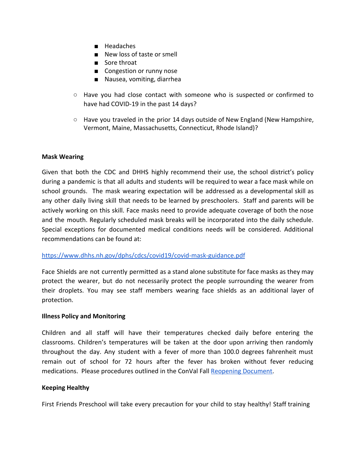- Headaches
- New loss of taste or smell
- Sore throat
- Congestion or runny nose
- Nausea, vomiting, diarrhea
- Have you had close contact with someone who is suspected or confirmed to have had COVID-19 in the past 14 days?
- $\circ$  Have you traveled in the prior 14 days outside of New England (New Hampshire, Vermont, Maine, Massachusetts, Connecticut, Rhode Island)?

#### **Mask Wearing**

Given that both the CDC and DHHS highly recommend their use, the school district's policy during a pandemic is that all adults and students will be required to wear a face mask while on school grounds. The mask wearing expectation will be addressed as a developmental skill as any other daily living skill that needs to be learned by preschoolers. Staff and parents will be actively working on this skill. Face masks need to provide adequate coverage of both the nose and the mouth. Regularly scheduled mask breaks will be incorporated into the daily schedule. Special exceptions for documented medical conditions needs will be considered. Additional recommendations can be found at:

#### <https://www.dhhs.nh.gov/dphs/cdcs/covid19/covid-mask-guidance.pdf>

Face Shields are not currently permitted as a stand alone substitute for face masks as they may protect the wearer, but do not necessarily protect the people surrounding the wearer from their droplets. You may see staff members wearing face shields as an additional layer of protection.

#### **Illness Policy and Monitoring**

Children and all staff will have their temperatures checked daily before entering the classrooms. Children's temperatures will be taken at the door upon arriving then randomly throughout the day. Any student with a fever of more than 100.0 degrees fahrenheit must remain out of school for 72 hours after the fever has broken without fever reducing medications. Please procedures outlined in the ConVal Fall [Reopening Document.](https://convalsd.net/wp-content/uploads/2020/08/CVSD-Fall-2020-Reopening-Plan.pdf)

#### **Keeping Healthy**

First Friends Preschool will take every precaution for your child to stay healthy! Staff training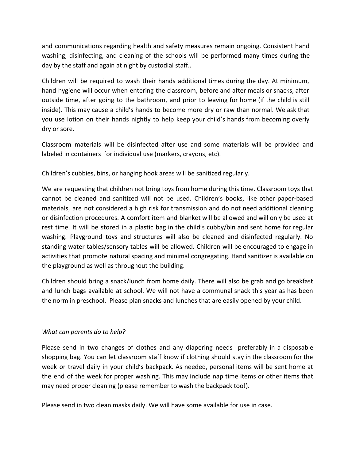and communications regarding health and safety measures remain ongoing. Consistent hand washing, disinfecting, and cleaning of the schools will be performed many times during the day by the staff and again at night by custodial staff..

Children will be required to wash their hands additional times during the day. At minimum, hand hygiene will occur when entering the classroom, before and after meals or snacks, after outside time, after going to the bathroom, and prior to leaving for home (if the child is still inside). This may cause a child's hands to become more dry or raw than normal. We ask that you use lotion on their hands nightly to help keep your child's hands from becoming overly dry or sore.

Classroom materials will be disinfected after use and some materials will be provided and labeled in containers for individual use (markers, crayons, etc).

Children's cubbies, bins, or hanging hook areas will be sanitized regularly.

We are requesting that children not bring toys from home during this time. Classroom toys that cannot be cleaned and sanitized will not be used. Children's books, like other paper-based materials, are not considered a high risk for transmission and do not need additional cleaning or disinfection procedures. A comfort item and blanket will be allowed and will only be used at rest time. It will be stored in a plastic bag in the child's cubby/bin and sent home for regular washing. Playground toys and structures will also be cleaned and disinfected regularly. No standing water tables/sensory tables will be allowed. Children will be encouraged to engage in activities that promote natural spacing and minimal congregating. Hand sanitizer is available on the playground as well as throughout the building.

Children should bring a snack/lunch from home daily. There will also be grab and go breakfast and lunch bags available at school. We will not have a communal snack this year as has been the norm in preschool. Please plan snacks and lunches that are easily opened by your child.

# *What can parents do to help?*

Please send in two changes of clothes and any diapering needs preferably in a disposable shopping bag. You can let classroom staff know if clothing should stay in the classroom for the week or travel daily in your child's backpack. As needed, personal items will be sent home at the end of the week for proper washing. This may include nap time items or other items that may need proper cleaning (please remember to wash the backpack too!).

Please send in two clean masks daily. We will have some available for use in case.